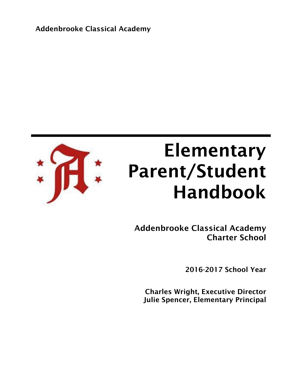Addenbrooke Classical Academy



# Elementary Parent/Student Handbook

Addenbrooke Classical Academy Charter School

2016-2017 School Year

Charles Wright, Executive Director Julie Spencer, Elementary Principal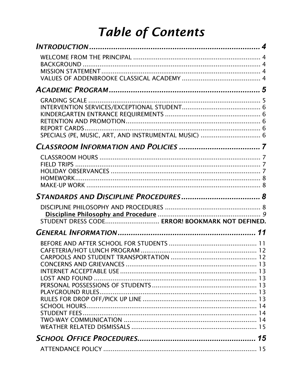# **Table of Contents**

| SPECIALS (PE, MUSIC, ART, AND INSTRUMENTAL MUSIC)  6 |  |
|------------------------------------------------------|--|
|                                                      |  |
|                                                      |  |
|                                                      |  |
| STUDENT DRESS CODE ERROR! BOOKMARK NOT DEFINED.      |  |
|                                                      |  |
|                                                      |  |
|                                                      |  |
|                                                      |  |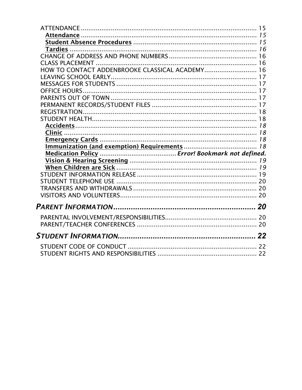| HOW TO CONTACT ADDENBROOKE CLASSICAL ACADEMY 16 |  |
|-------------------------------------------------|--|
|                                                 |  |
|                                                 |  |
|                                                 |  |
|                                                 |  |
|                                                 |  |
|                                                 |  |
|                                                 |  |
|                                                 |  |
|                                                 |  |
|                                                 |  |
|                                                 |  |
|                                                 |  |
|                                                 |  |
|                                                 |  |
|                                                 |  |
|                                                 |  |
|                                                 |  |
|                                                 |  |
|                                                 |  |
|                                                 |  |
|                                                 |  |
|                                                 |  |
|                                                 |  |
|                                                 |  |
|                                                 |  |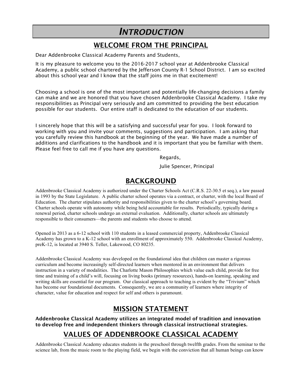## *INTRODUCTION*

### WELCOME FROM THE PRINCIPAL

Dear Addenbrooke Classical Academy Parents and Students,

It is my pleasure to welcome you to the 2016-2017 school year at Addenbrooke Classical Academy, a public school chartered by the Jefferson County R-1 School District. I am so excited about this school year and I know that the staff joins me in that excitement!

Choosing a school is one of the most important and potentially life-changing decisions a family can make and we are honored that you have chosen Addenbrooke Classical Academy. I take my responsibilities as Principal very seriously and am committed to providing the best education possible for our students. Our entire staff is dedicated to the education of our students.

I sincerely hope that this will be a satisfying and successful year for you. I look forward to working with you and invite your comments, suggestions and participation. I am asking that you carefully review this handbook at the beginning of the year. We have made a number of additions and clarifications to the handbook and it is important that you be familiar with them. Please feel free to call me if you have any questions.

Regards,

Julie Spencer, Principal

#### BACKGROUND

Addenbrooke Classical Academy is authorized under the Charter Schools Act (C.R.S. 22-30.5 et seq.), a law passed in 1993 by the State Legislature. A public charter school operates via a contract, or charter, with the local Board of Education. The charter stipulates authority and responsibilities given to the charter school's governing board. Charter schools operate with autonomy while being held accountable for results. Periodically, typically during a renewal period, charter schools undergo an external evaluation. Additionally, charter schools are ultimately responsible to their consumers—the parents and students who choose to attend.

Opened in 2013 as a 6-12 school with 110 students in a leased commercial property, Addenbrooke Classical Academy has grown to a K-12 school with an enrollment of approximately 550. Addenbrooke Classical Academy, preK-12, is located at 3940 S. Teller, Lakewood, CO 80235.

Addenbrooke Classical Academy was developed on the foundational idea that children can master a rigorous curriculum and become increasingly self-directed learners when mentored in an environment that delivers instruction in a variety of modalities. The Charlotte Mason Philosophies which value each child, provide for free time and training of a child's will, focusing on living books (primary resources), hands-on learning, speaking and writing skills are essential for our program. Our classical approach to teaching is evident by the "Trivium" which has become our foundational documents. Consequently, we are a community of learners where integrity of character, value for education and respect for self and others is paramount.

#### MISSION STATEMENT

Addenbrooke Classical Academy utilizes an integrated model of tradition and innovation to develop free and independent thinkers through classical instructional strategies.

### VALUES OF ADDENBROOKE CLASSICAL ACADEMY

Addenbrooke Classical Academy educates students in the preschool through twelfth grades. From the seminar to the science lab, from the music room to the playing field, we begin with the conviction that all human beings can know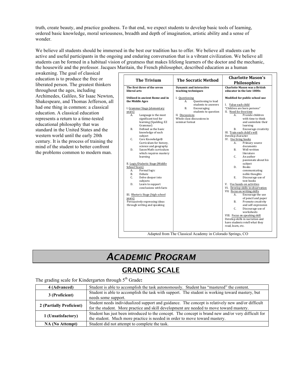truth, create beauty, and practice goodness. To that end, we expect students to develop basic tools of learning, ordered basic knowledge, moral seriousness, breadth and depth of imagination, artistic ability and a sense of wonder.

We believe all students should be immersed in the best our tradition has to offer. We believe all students can be active and useful participants in the ongoing and enduring conversation that is a vibrant civilization. We believe all students can be formed in a habitual vision of greatness that makes lifelong learners of the doctor and the mechanic, the housewife and the professor. Jacques Maritain, the French philosopher, described education as a human

awakening. The goal of classical education is to produce the free or liberated person. The greatest thinkers throughout the ages, including Archimedes, Galileo, Sir Isaac Newton, Shakespeare, and Thomas Jefferson, all had one thing in common: a classical education. A classical education represents a return to a time-tested educational philosophy that was standard in the United States and the western world until the early 20th century. It is the process of training the mind of the student to better confront the problems common to modern man.

| <b>Charlotte Mason was a British</b><br><b>Dynamic and interactive</b><br>teaching techniques<br>educator in the late 1800s<br>Modified for public school use<br>I. Questioning<br>Questioning to lead<br>А.<br>students to answers<br>I. Value each child<br>"Children are born persons"<br><b>B.</b><br>Encouraging<br>students to question<br>II. Need for free time<br>Provide children<br>A.<br>Language is the most<br>II. Discussions<br>$\mathbf{A}$<br>Whole class discussions in<br>significant tool for<br>with time to think<br>learning (Spalding, EZ<br>seminar format<br>and assimilate their<br>Grammar)<br>learning<br>Defined as the basic<br>В.<br>Encourage creativity<br><b>B.</b><br>knowledge of each<br>III. Train each child's will<br>Develop character<br>subject<br>C.<br>Core Knowledge®<br>IV. Use living books<br>Curriculum for history,<br>A.<br>Primary source<br>science and geography<br>documents<br>Saxon Math curriculum<br>Well-written<br>D.<br>B.<br>which requires mastery<br>literature<br>C.<br>An author<br>learning<br>passionate about his<br>subject<br><b>Books</b><br>D.<br>Formal logic<br>communicating<br>A.<br>B.<br>Debate<br>noble thoughts<br>C.<br>Delve deeper into<br>Е.<br>Discourage use of<br>text books<br>subjects<br>D.<br>Learn to support<br>V. Use hands-on activities<br>conclusions with facts<br>VI. Develop skills in observation<br>VII. Focus on writing skills<br>Encourage the use<br>А.<br>of pencil and paper<br>Promote creativity<br><b>B.</b><br>and self-expression<br>Discourage use of<br>C.<br>worksheets<br>VIII. Focus on speaking skill<br>Develop skills in narration and<br>have students retell what they<br>read, learn, etc. | <b>The Trivium</b>                                                                                                                                                                                                                                                 | <b>The Socratic Method</b> | <b>Charlotte Mason's</b><br><b>Philosophies</b> |
|-----------------------------------------------------------------------------------------------------------------------------------------------------------------------------------------------------------------------------------------------------------------------------------------------------------------------------------------------------------------------------------------------------------------------------------------------------------------------------------------------------------------------------------------------------------------------------------------------------------------------------------------------------------------------------------------------------------------------------------------------------------------------------------------------------------------------------------------------------------------------------------------------------------------------------------------------------------------------------------------------------------------------------------------------------------------------------------------------------------------------------------------------------------------------------------------------------------------------------------------------------------------------------------------------------------------------------------------------------------------------------------------------------------------------------------------------------------------------------------------------------------------------------------------------------------------------------------------------------------------------------------------------------------------------------------------------------------------------------|--------------------------------------------------------------------------------------------------------------------------------------------------------------------------------------------------------------------------------------------------------------------|----------------------------|-------------------------------------------------|
|                                                                                                                                                                                                                                                                                                                                                                                                                                                                                                                                                                                                                                                                                                                                                                                                                                                                                                                                                                                                                                                                                                                                                                                                                                                                                                                                                                                                                                                                                                                                                                                                                                                                                                                             | The first three of the seven<br>liberal arts                                                                                                                                                                                                                       |                            |                                                 |
|                                                                                                                                                                                                                                                                                                                                                                                                                                                                                                                                                                                                                                                                                                                                                                                                                                                                                                                                                                                                                                                                                                                                                                                                                                                                                                                                                                                                                                                                                                                                                                                                                                                                                                                             | Utilized in ancient Rome and in<br>the Middle Ages<br>I. Grammar Stage (elementary<br>years)<br>II. Logic/Dialectic Stage (Middle)<br>School Years)<br>III. Rhetoric Stage (high school<br>years)<br>Persuasively expressing ideas<br>through writing and speaking |                            |                                                 |
|                                                                                                                                                                                                                                                                                                                                                                                                                                                                                                                                                                                                                                                                                                                                                                                                                                                                                                                                                                                                                                                                                                                                                                                                                                                                                                                                                                                                                                                                                                                                                                                                                                                                                                                             |                                                                                                                                                                                                                                                                    |                            |                                                 |

# *ACADEMIC PROGRAM*

### GRADING SCALE

#### The grading scale for Kindergarten through 5th Grade**:**

| 4 (Advanced)             | Student is able to accomplish the task autonomously. Student has "mastered" the content.            |  |  |
|--------------------------|-----------------------------------------------------------------------------------------------------|--|--|
| 3 (Proficient)           | Student is able to accomplish the task with support. The student is working toward mastery, but     |  |  |
|                          | needs some support.                                                                                 |  |  |
|                          | Student needs individualized support and guidance. The concept is relatively new and/or difficult   |  |  |
| 2 (Partially Proficient) | for the student. More practice and skill development are needed to move toward mastery.             |  |  |
|                          | Student has just been introduced to the concept. The concept is brand new and/or very difficult for |  |  |
| 1 (Unsatisfactory)       | the student. Much more practice is needed in order to move toward mastery.                          |  |  |
| <b>NA</b> (No Attempt)   | Student did not attempt to complete the task.                                                       |  |  |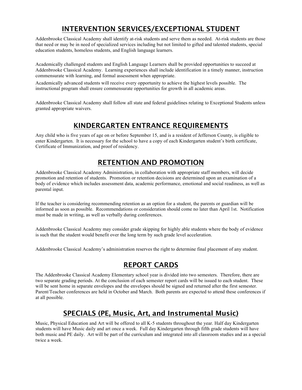### INTERVENTION SERVICES/EXCEPTIONAL STUDENT

Addenbrooke Classical Academy shall identify at-risk students and serve them as needed. At-risk students are those that need or may be in need of specialized services including but not limited to gifted and talented students, special education students, homeless students, and English language learners.

Academically challenged students and English Language Learners shall be provided opportunities to succeed at Addenbrooke Classical Academy. Learning experiences shall include identification in a timely manner, instruction commensurate with learning, and formal assessment when appropriate.

Academically advanced students will receive every opportunity to achieve the highest levels possible. The instructional program shall ensure commensurate opportunities for growth in all academic areas.

Addenbrooke Classical Academy shall follow all state and federal guidelines relating to Exceptional Students unless granted appropriate waivers.

#### KINDERGARTEN ENTRANCE REQUIREMENTS

Any child who is five years of age on or before September 15, and is a resident of Jefferson County, is eligible to enter Kindergarten. It is necessary for the school to have a copy of each Kindergarten student's birth certificate, Certificate of Immunization, and proof of residency.

### RETENTION AND PROMOTION

Addenbrooke Classical Academy Administration, in collaboration with appropriate staff members, will decide promotion and retention of students. Promotion or retention decisions are determined upon an examination of a body of evidence which includes assessment data, academic performance, emotional and social readiness, as well as parental input.

If the teacher is considering recommending retention as an option for a student, the parents or guardian will be informed as soon as possible. Recommendations or consideration should come no later than April 1st. Notification must be made in writing, as well as verbally during conferences.

Addenbrooke Classical Academy may consider grade skipping for highly able students where the body of evidence is such that the student would benefit over the long term by such grade level acceleration.

Addenbrooke Classical Academy's administration reserves the right to determine final placement of any student.

#### REPORT CARDS

The Addenbrooke Classical Academy Elementary school year is divided into two semesters. Therefore, there are two separate grading periods. At the conclusion of each semester report cards will be issued to each student. These will be sent home in separate envelopes and the envelopes should be signed and returned after the first semester. Parent/Teacher conferences are held in October and March. Both parents are expected to attend these conferences if at all possible.

### SPECIALS (PE, Music, Art, and Instrumental Music)

Music, Physical Education and Art will be offered to all K-5 students throughout the year. Half day Kindergarten students will have Music daily and art once a week. Full day Kindergarten through fifth grade students will have both music and PE daily. Art will be part of the curriculum and integrated into all classroom studies and as a special twice a week.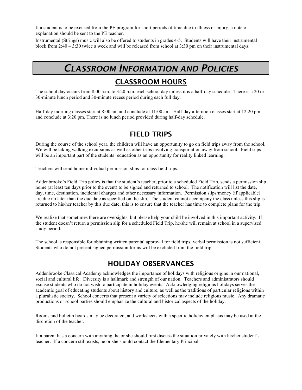If a student is to be excused from the PE program for short periods of time due to illness or injury, a note of explanation should be sent to the PE teacher.

Instrumental (Strings) music will also be offered to students in grades 4-5. Students will have their instrumental block from 2:40 – 3:30 twice a week and will be released from school at 3:30 pm on their instrumental days.

## *CLASSROOM INFORMATION AND POLICIES*

### CLASSROOM HOURS

The school day occurs from 8:00 a.m. to 3:20 p.m. each school day unless it is a half-day schedule. There is a 20 or 30-minute lunch period and 30-minute recess period during each full day.

Half-day morning classes start at 8:00 am and conclude at 11:00 am. Half-day afternoon classes start at 12:20 pm and conclude at 3:20 pm. There is no lunch period provided during half-day schedule.

#### FIELD TRIPS

During the course of the school year, the children will have an opportunity to go on field trips away from the school. We will be taking walking excursions as well as other trips involving transportation away from school. Field trips will be an important part of the students' education as an opportunity for reality linked learning.

Teachers will send home individual permission slips for class field trips.

Addenbrooke's Field Trip policy is that the student's teacher, prior to a scheduled Field Trip, sends a permission slip home (at least ten days prior to the event) to be signed and returned to school. The notification will list the date, day, time, destination, incidental charges and other necessary information. Permission slips/money (if applicable) are due no later than the due date as specified on the slip. The student cannot accompany the class unless this slip is returned to his/her teacher by this due date, this is to ensure that the teacher has time to complete plans for the trip.

We realize that sometimes there are oversights, but please help your child be involved in this important activity. If the student doesn't return a permission slip for a scheduled Field Trip, he/she will remain at school in a supervised study period.

The school is responsible for obtaining written parental approval for field trips; verbal permission is not sufficient. Students who do not present signed permission forms will be excluded from the field trip.

#### HOLIDAY OBSERVANCES

Addenbrooke Classical Academy acknowledges the importance of holidays with religious origins in our national, social and cultural life. Diversity is a hallmark and strength of our nation. Teachers and administrators should excuse students who do not wish to participate in holiday events. Acknowledging religious holidays serves the academic goal of educating students about history and culture, as well as the traditions of particular religions within a pluralistic society. School concerts that present a variety of selections may include religious music. Any dramatic productions or school parties should emphasize the cultural and historical aspects of the holiday.

Rooms and bulletin boards may be decorated, and worksheets with a specific holiday emphasis may be used at the discretion of the teacher.

If a parent has a concern with anything, he or she should first discuss the situation privately with his/her student's teacher. If a concern still exists, he or she should contact the Elementary Principal.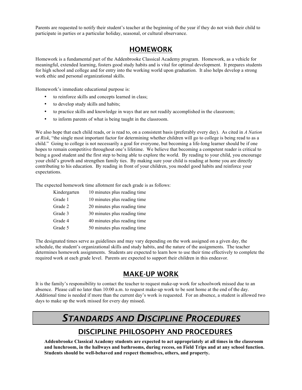Parents are requested to notify their student's teacher at the beginning of the year if they do not wish their child to participate in parties or a particular holiday, seasonal, or cultural observance.

#### **HOMEWORK**

Homework is a fundamental part of the Addenbrooke Classical Academy program. Homework, as a vehicle for meaningful, extended learning, fosters good study habits and is vital for optimal development. It prepares students for high school and college and for entry into the working world upon graduation. It also helps develop a strong work ethic and personal organizational skills.

Homework's immediate educational purpose is:

- to reinforce skills and concepts learned in class;
- to develop study skills and habits;
- to practice skills and knowledge in ways that are not readily accomplished in the classroom;
- to inform parents of what is being taught in the classroom.

We also hope that each child reads, or is read to, on a consistent basis (preferably every day). As cited in *A Nation at Risk*, "the single most important factor for determining whether children will go to college is being read to as a child." Going to college is not necessarily a goal for everyone, but becoming a life-long learner should be if one hopes to remain competitive throughout one's lifetime. We believe that becoming a competent reader is critical to being a good student and the first step to being able to explore the world. By reading to your child, you encourage your child's growth and strengthen family ties. By making sure your child is reading at home you are directly contributing to his education. By reading in front of your children, you model good habits and reinforce your expectations.

The expected homework time allotment for each grade is as follows:

| Kindergarten | 10 minutes plus reading time |
|--------------|------------------------------|
| Grade 1      | 10 minutes plus reading time |
| Grade 2      | 20 minutes plus reading time |
| Grade 3      | 30 minutes plus reading time |
| Grade 4      | 40 minutes plus reading time |
| Grade 5      | 50 minutes plus reading time |

The designated times serve as guidelines and may vary depending on the work assigned on a given day, the schedule, the student's organizational skills and study habits, and the nature of the assignments. The teacher determines homework assignments. Students are expected to learn how to use their time effectively to complete the required work at each grade level. Parents are expected to support their children in this endeavor.

#### MAKE-UP WORK

It is the family's responsibility to contact the teacher to request make-up work for schoolwork missed due to an absence. Please call no later than 10:00 a.m. to request make-up work to be sent home at the end of the day. Additional time is needed if more than the current day's work is requested. For an absence, a student is allowed two days to make up the work missed for every day missed.

# *STANDARDS AND DISCIPLINE PROCEDURES*

#### DISCIPLINE PHILOSOPHY AND PROCEDURES

**Addenbrooke Classical Academy students are expected to act appropriately at all times in the classroom and lunchroom, in the hallways and bathrooms, during recess, on Field Trips and at any school function. Students should be well-behaved and respect themselves, others, and property.**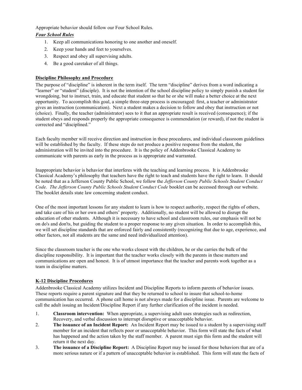Appropriate behavior should follow our Four School Rules.

#### *Four School Rules*

- 1. Keep all communications honoring to one another and oneself.
- 2. Keep your hands and feet to yourselves.
- 3. Respect and obey all supervising adults.
- 4. Be a good caretaker of all things.

#### **Discipline Philosophy and Procedure**

The purpose of "discipline" is inherent in the term itself. The term "discipline" derives from a word indicating a "learner" or "student" (disciple). It is not the intention of the school discipline policy to simply punish a student for wrongdoing, but to instruct, train, and educate that student so that he or she will make a better choice at the next opportunity. To accomplish this goal, a simple three-step process is encouraged: first, a teacher or administrator gives an instruction (communication). Next a student makes a decision to follow and obey that instruction or not (choice). Finally, the teacher (administrator) sees to it that an appropriate result is received (consequence); if the student obeys and responds properly the appropriate consequence is commendation (or reward), if not the student is corrected and "disciplined."

Each faculty member will receive direction and instruction in these procedures, and individual classroom guidelines will be established by the faculty. If these steps do not produce a positive response from the student, the administration will be invited into the procedure. It is the policy of Addenbrooke Classical Academy to communicate with parents as early in the process as is appropriate and warranted.

Inappropriate behavior is behavior that interferes with the teaching and learning process. It is Addenbrooke Classical Academy's philosophy that teachers have the right to teach and students have the right to learn. It should be noted that as a Jefferson County Public School, we follow the *Jefferson County Public Schools Student Conduct Code. The Jefferson County Public Schools Student Conduct Code* booklet can be accessed through our website. The booklet details state law concerning student conduct.

One of the most important lessons for any student to learn is how to respect authority, respect the rights of others, and take care of his or her own and others' property. Additionally, no student will be allowed to disrupt the education of other students. Although it is necessary to have school and classroom rules, our emphasis will not be on do's and don'ts, but guiding the student to a proper response to any given situation. In order to accomplish this, we will set discipline standards that are enforced fairly and consistently (recognizing that due to age, experience, and other factors, not all students are the same and need individualized attention).

Since the classroom teacher is the one who works closest with the children, he or she carries the bulk of the discipline responsibility. It is important that the teacher works closely with the parents in these matters and communications are open and honest. It is of utmost importance that the teacher and parents work together as a team in discipline matters.

#### **K-12 Discipline Procedures**

Addenbrooke Classical Academy utilizes Incident and Discipline Reports to inform parents of behavior issues. These reports require a parent signature and that they be returned to school to insure that school-to-home communication has occurred. A phone call home is not always made for a discipline issue. Parents are welcome to call the adult issuing an Incident/Discipline Report if any further clarification of the incident is needed.

- 1. **Classroom intervention:** When appropriate, a supervising adult uses strategies such as redirection, Recovery, and verbal discussion to interrupt disruptive or unacceptable behavior.
- 2. **The issuance of an Incident Report:** An Incident Report may be issued to a student by a supervising staff member for an incident that reflects poor or unacceptable behavior. This form will state the facts of what has happened and the action taken by the staff member. A parent must sign this form and the student will return it the next day.
- 3. **The issuance of a Discipline Report:** A Discipline Report may be issued for those behaviors that are of a more serious nature or if a pattern of unacceptable behavior is established. This form will state the facts of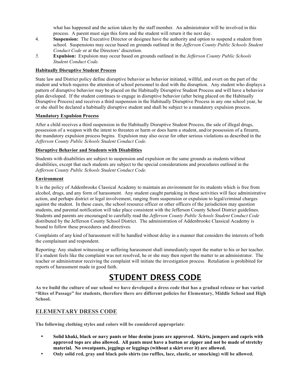what has happened and the action taken by the staff member. An administrator will be involved in this process. A parent must sign this form and the student will return it the next day.

- 4. **Suspension:** The Executive Director or designee have the authority and option to suspend a student from school. Suspensions may occur based on grounds outlined in the *Jefferson County Public Schools Student Conduct Code* or at the Directors' discretion.
- *5.* **Expulsion:** Expulsion may occur based on grounds outlined in the *Jefferson County Public Schools Student Conduct Code.*

#### **Habitually Disruptive Student Process**

State law and District policy define disruptive behavior as behavior initiated, willful, and overt on the part of the student and which requires the attention of school personnel to deal with the disruption. Any student who displays a pattern of disruptive behavior may be placed on the Habitually Disruptive Student Process and will have a behavior plan developed. If the student continues to engage in disruptive behavior (after being placed on the Habitually Disruptive Process) and receives a third suspension in the Habitually Disruptive Process in any one school year, he or she shall be declared a habitually disruptive student and shall be subject to a mandatory expulsion process.

#### **Mandatory Expulsion Process**

After a child receives a third suspension in the Habitually Disruptive Student Process, the sale of illegal drugs, possession of a weapon with the intent to threaten or harm or does harm a student, and/or possession of a firearm, the mandatory expulsion process begins. Expulsion may also occur for other serious violations as described in the *Jefferson County Public Schools Student Conduct Code.*

#### **Disruptive Behavior and Students with Disabilities**

Students with disabilities are subject to suspension and expulsion on the same grounds as students without disabilities, except that such students are subject to the special considerations and procedures outlined in the *Jefferson County Public Schools Student Conduct Code.*

#### **Environment**

It is the policy of Addenbrooke Classical Academy to maintain an environment for its students which is free from alcohol, drugs, and any form of harassment. Any student caught partaking in these activities will face administrative action, and perhaps district or legal involvement, ranging from suspension or expulsion to legal/criminal charges against the student. In these cases, the school resource officer or other officers of the jurisdiction may question students, and parental notification will take place consistent with the Jefferson County School District guidelines. Students and parents are encouraged to carefully read the *Jefferson County Public Schools Student Conduct Code* distributed by the Jefferson County School District. The administration of Addenbrooke Classical Academy is bound to follow these procedures and directives.

Complaints of any kind of harassment will be handled without delay in a manner that considers the interests of both the complainant and respondent.

Reporting: Any student witnessing or suffering harassment shall immediately report the matter to his or her teacher. If a student feels like the complaint was not resolved, he or she may then report the matter to an administrator. The teacher or administrator receiving the complaint will initiate the investigation process. Retaliation is prohibited for reports of harassment made in good faith.

### STUDENT DRESS CODE

**As we build the culture of our school we have developed a dress code that has a gradual release or has varied "Rites of Passage" for students, therefore there are different policies for Elementary, Middle School and High School.**

#### **ELEMENTARY DRESS CODE**

**The following clothing styles and colors will be considered appropriate**:

- **Solid khaki, black or navy pants or blue denim jeans are approved. Skirts, jumpers and capris with approved tops are also allowed. All pants must have a button or zipper and not be made of stretchy material. No sweatpants, jeggings or leggings (without a skirt over it) are allowed.**
- **Only solid red, gray and black polo shirts (no ruffles, lace, elastic, or smocking) will be allowed.**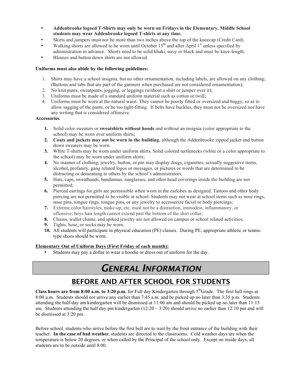- **Addenbrooke logoed T-Shirts may only be worn on Fridays in the Elementary. Middle School students may wear Addenbrooke logoed T-shirts at any time.**
- Skirts and jumpers must not be more than two inches above the top of the kneecap (Credit Card).
- Walking shorts are allowed to be worn until October  $15<sup>th</sup>$  and after April  $1<sup>st</sup>$  unless specified by administration in advance. Shorts need to be solid khaki, navy or black and must be knee-length.
- Blouses and button down shirts are not allowed.

#### **Uniforms must also abide by the following guidelines:**

- 1. Shirts may have a school insignia, but no other ornamentation, including labels, are allowed on any clothing; (Buttons and tabs that are part of the garment when purchased are not considered ornamentation);
- 2. No knit pants, sweatpants, jogging, or leggings (without a shirt or jumper over it);
- 3. Uniforms must be made of a standard uniform material such as cotton or twill;
- 4. Uniforms must be worn at the natural waist. They cannot be poorly fitted or oversized and baggy, so as to allow sagging of the pants, or be too tight-fitting. If belts have buckles, they must not be oversized nor have any writing that is considered offensive.

#### **Accessories**

- **1.** Solid color sweaters or **sweatshirts without hoods** and without an insignia (color appropriate to the school) may be worn over uniform shirts;
- **2. Coats and jackets may not be worn in the building**, although the Addenbrooke zipped jacket and button down sweaters may be worn.
- **3.** White T-shirts may be worn under uniform shirts. Solid colored turtlenecks (white or a color appropriate to the school) may be worn under uniform shirts;
- **4.** No manner of clothing, jewelry, button, or pin may display drugs, cigarettes, sexually suggestive items, alcohol, profanity, gang related logos or messages, or pictures or words that are determined to be distracting or demeaning to others by the school's administrators;
- **5.** Hats, caps, sweatbands, bandannas, sunglasses, and other head coverings inside the building are not permitted;
- **6.** Pierced earrings for girls are permissible when worn in the earlobes as designed. Tattoos and other body piercing are not permitted to be visible at school. Students may not wear at school items such as nose rings, nose pins, tongue rings, tongue pins, or any jewelry to accessorize facial or body piercings;
- **7.** Extreme color/hairstyles, make-up, etc. must not be a distraction, immodest, inflammatory, or offensive; boys hair length cannot extend past the bottom of the shirt collar;
- **8.** Chains, wallet chains, and spiked jewelry are not allowed on campus or school related activities;
- **9.** Tights, hose, or socks may be worn.
- **10.** All students will participate in physical education (PE) classes. During PE, appropriate athletic or tennistype shoes should be worn.

#### **Elementary Out of Uniform Days (First Friday of each month):**

Students may pay a dollar to wear a hoodie or dress out of uniform for the day.

# *GENERAL INFORMATION*

#### BEFORE AND AFTER SCHOOL FOR STUDENTS

Class hours are from  $8:00$  a.m. to  $3:20$  p.m. for Full day Kindergarten through  $5<sup>th</sup>$ Grade. The first bell rings at 8:00 a.m. Students should not arrive any earlier than 7:45 a.m. and be picked up no later than 3:35 p.m. Students attending the half-day am kindergarten will be dismissed at 11:00 am and should be picked up no later than 11:15 am. Students attending the half day pm kindergarten (12:20 – 3:20) should arrive no earlier than 12:10 pm and will be dismissed at 3:20 pm.

Before school, students who arrive before the first bell are to wait by the front entrance of the building with their teacher. **In the case of bad weather**, students are directed to the classrooms. Cold weather days are when the temperature is below 20 degrees, or when called by the Principal of the school only. Except on inside days, all students are to be outside until 8:00.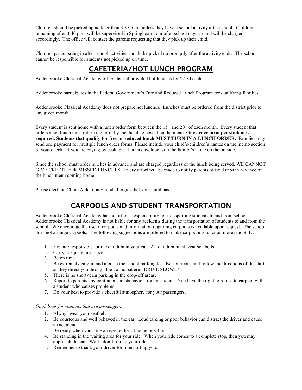Children should be picked up no later than 3:35 p.m., unless they have a school activity after school. Children remaining after 3:40 p.m. will be supervised in Springboard, our after school daycare and will be charged accordingly. The office will contact the parents requesting that they pick up their child.

Children participating in after school activities should be picked up promptly after the activity ends. The school cannot be responsible for students not picked up on time.

### CAFETERIA/HOT LUNCH PROGRAM

Addenbrooke Classical Academy offers district provided hot lunches for \$2.50 each.

Addenbrooke participates in the Federal Government's Free and Reduced Lunch Program for qualifying families.

Addenbrooke Classical Academy does not prepare hot lunches. Lunches must be ordered from the district prior to any given month.

Every student is sent home with a lunch order form between the  $15<sup>th</sup>$  and  $20<sup>th</sup>$  of each month. Every student that orders a hot lunch must return the form by the due date posted on the menu. **One order form per student is required. Students that qualify for free or reduced lunch MUST TURN IN A LUNCH ORDER.** Families may send one payment for multiple lunch order forms. Please include your child's/children's names on the memo section of your check. If you are paying by cash, put it in an envelope with the family's name on the outside.

Since the school must order lunches in advance and are charged regardless of the lunch being served, WE CANNOT GIVE CREDIT FOR MISSED LUNCHES. Every effort will be made to notify parents of field trips in advance of the lunch menu coming home.

Please alert the Clinic Aide of any food allergies that your child has.

### CARPOOLS AND STUDENT TRANSPORTATION

Addenbrooke Classical Academy has no official responsibility for transporting students to and from school. Addenbrooke Classical Academy is not liable for any accidents during the transportation of students to and from the school. We encourage the use of carpools and information regarding carpools is available upon request. The school does not arrange carpools. The following suggestions are offered to make carpooling function more smoothly:

- 1. You are responsible for the children in your car. All children must wear seatbelts.
- 2. Carry adequate insurance.
- 3. Be on time.
- 4. Be extremely careful and alert in the school parking lot. Be courteous and follow the directions of the staff as they direct you through the traffic pattern. DRIVE SLOWLY.
- 5. There is no short-term parking in the drop-off areas.
- 6. Report to parents any continuous misbehavior from a student. You have the right to refuse to carpool with a student who causes problems.
- 7. Do your best to provide a cheerful atmosphere for your passengers.

*Guidelines for students that are passengers:*

- 1. Always wear your seatbelt.
- 2. Be courteous and well behaved in the car. Loud talking or poor behavior can distract the driver and cause an accident.
- 3. Be ready when your ride arrives, either at home or school.
- 4. Be standing in the waiting area for your ride. When your ride comes to a complete stop, then you may approach the car. Walk; don't run, to your ride.
- 5. Remember to thank your driver for transporting you.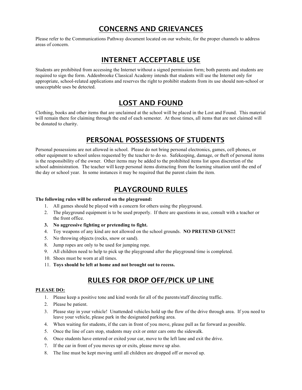### CONCERNS AND GRIEVANCES

Please refer to the Communications Pathway document located on our website, for the proper channels to address areas of concern.

#### INTERNET ACCEPTABLE USE

Students are prohibited from accessing the Internet without a signed permission form; both parents and students are required to sign the form. Addenbrooke Classical Academy intends that students will use the Internet only for appropriate, school-related applications and reserves the right to prohibit students from its use should non-school or unacceptable uses be detected.

#### LOST AND FOUND

Clothing, books and other items that are unclaimed at the school will be placed in the Lost and Found. This material will remain there for claiming through the end of each semester. At those times, all items that are not claimed will be donated to charity.

### PERSONAL POSSESSIONS OF STUDENTS

Personal possessions are not allowed in school. Please do not bring personal electronics, games, cell phones, or other equipment to school unless requested by the teacher to do so. Safekeeping, damage, or theft of personal items is the responsibility of the owner. Other items may be added to the prohibited items list upon discretion of the school administration. The teacher will keep personal items distracting from the learning situation until the end of the day or school year. In some instances it may be required that the parent claim the item.

#### PLAYGROUND RULES

#### **The following rules will be enforced on the playground:**

- 1. All games should be played with a concern for others using the playground.
- 2. The playground equipment is to be used properly. If there are questions in use, consult with a teacher or the front office.
- **3. No aggressive fighting or pretending to fight.**
- 4. Toy weapons of any kind are not allowed on the school grounds. **NO PRETEND GUNS!!!**
- 5. No throwing objects (rocks, snow or sand).
- 8. Jump ropes are only to be used for jumping rope.
- 9. All children need to help to pick up the playground after the playground time is completed.
- 10. Shoes must be worn at all times.
- 11. **Toys should be left at home and not brought out to recess.**

### RULES FOR DROP OFF/PICK UP LINE

#### **PLEASE DO:**

- 1. Please keep a positive tone and kind words for all of the parents/staff directing traffic.
- 2. Please be patient.
- 3. Please stay in your vehicle! Unattended vehicles hold up the flow of the drive through area. If you need to leave your vehicle, please park in the designated parking area.
- 4. When waiting for students, if the cars in front of you move, please pull as far forward as possible.
- 5. Once the line of cars stop, students may exit or enter cars onto the sidewalk.
- 6. Once students have entered or exited your car, move to the left lane and exit the drive.
- 7. If the car in front of you moves up or exits, please move up also.
- 8. The line must be kept moving until all children are dropped off or moved up.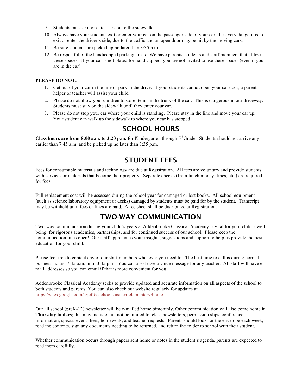- 9. Students must exit or enter cars on to the sidewalk.
- 10. Always have your students exit or enter your car on the passenger side of your car. It is very dangerous to exit or enter the driver's side, due to the traffic and an open door may be hit by the moving cars.
- 11. Be sure students are picked up no later than 3:35 p.m.
- 12. Be respectful of the handicapped parking areas. We have parents, students and staff members that utilize these spaces. If your car is not plated for handicapped, you are not invited to use these spaces (even if you are in the car).

#### **PLEASE DO NOT:**

- 1. Get out of your car in the line or park in the drive. If your students cannot open your car door, a parent helper or teacher will assist your child.
- 2. Please do not allow your children to store items in the trunk of the car. This is dangerous in our driveway. Students must stay on the sidewalk until they enter your car.
- 3. Please do not stop your car where your child is standing. Please stay in the line and move your car up. Your student can walk up the sidewalk to where your car has stopped.

### SCHOOL HOURS

**Class hours are from 8:00 a.m. to 3:20 p.m.** for Kindergarten through 5<sup>th</sup>Grade. Students should not arrive any earlier than 7:45 a.m. and be picked up no later than 3:35 p.m.

#### STUDENT FEES

Fees for consumable materials and technology are due at Registration. All fees are voluntary and provide students with services or materials that become their property. Separate checks (from lunch money, fines, etc.) are required for fees.

Full replacement cost will be assessed during the school year for damaged or lost books. All school equipment (such as science laboratory equipment or desks) damaged by students must be paid for by the student. Transcript may be withheld until fees or fines are paid. A fee sheet shall be distributed at Registration.

#### TWO-WAY COMMUNICATION

Two-way communication during your child's years at Addenbrooke Classical Academy is vital for your child's well being, for rigorous academics, partnerships, and for continued success of our school. Please keep the communication lines open! Our staff appreciates your insights, suggestions and support to help us provide the best education for your child.

Please feel free to contact any of our staff members whenever you need to. The best time to call is during normal business hours, 7:45 a.m. until 3:45 p.m. You can also leave a voice message for any teacher. All staff will have email addresses so you can email if that is more convenient for you.

Addenbrooke Classical Academy seeks to provide updated and accurate information on all aspects of the school to both students and parents. You can also check our website regularly for updates at https://sites.google.com/a/jeffcoschools.us/aca-elementary/home*.*

Our all school (preK-12) newsletter will be e-mailed home bimonthly. Other communication will also come home in **Thursday folders**; this may include, but not be limited to, class newsletters, permission slips, conference information, special event fliers, homework, and teacher requests. Parents should look for the envelope each week, read the contents, sign any documents needing to be returned, and return the folder to school with their student.

Whether communication occurs through papers sent home or notes in the student's agenda, parents are expected to read them carefully.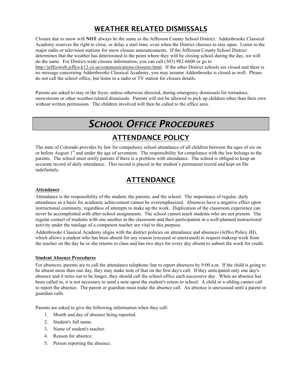### WEATHER RELATED DISMISSALS

Closure due to snow will **NOT** always be the same as the Jefferson County School District. Addenbrooke Classical Academy reserves the right to close, or delay a start time, even when the District chooses to stay open. Listen to the major radio or television stations for snow closure announcements. If the Jefferson County School District determines that the weather has deteriorated to the point where they will be closing school during the day, we will do the same. For District-wide closure information, you can call (303) 982-6600 or go to http://jeffcoweb.jeffco.k12.co.us/communications/closures.html. If the other District schools are closed and there is no message concerning Addenbrooke Classical Academy, you may assume Addenbrooke is closed as well.Please do not call the school office, but listen to a radio or TV station for closure details.

Parents are asked to stay in the foyer, unless otherwise directed, during emergency dismissals for tornadoes, snowstorms or other weather-related dismissals. Parents will not be allowed to pick up children other than their own without written permission.The children involved will then be called to the office area.

# *SCHOOL OFFICE PROCEDURES*

### ATTENDANCE POLICY

The state of Colorado provides by law for compulsory school attendance of all children between the ages of six on or before August 1<sup>st</sup> and under the age of seventeen. The responsibility for compliance with the law belongs to the parents. The school must notify parents if there is a problem with attendance. The school is obliged to keep an accurate record of daily attendance. This record is placed in the student's permanent record and kept on file indefinitely.

### ATTENDANCE

#### **Attendance**

Attendance is the responsibility of the student, the parents, and the school. The importance of regular, daily attendance as a basis for academic achievement cannot be overemphasized. Absences have a negative effect upon instructional continuity, regardless of attempts to make up the work. Duplication of the classroom experience can never be accomplished with after-school assignments. The school cannot teach students who are not present. The regular contact of students with one another in the classroom and their participation in a well-planned instructional activity under the tutelage of a competent teacher are vital to this purpose.

Addenbrooke Classical Academy aligns with the district policies on attendance and absences (Jeffco Policy JH), which allows a student who has been absent for any reason (excused or unexcused) to request makeup work from the teacher on the day he or she returns to class and has two days for every day absent to submit the work for credit.

#### **Student Absence Procedures**

For absences, parents are to call the attendance telephone line to report absences by 9:00 a.m. If the child is going to be absent more than one day, they may make note of that on the first day's call. If they anticipated only one day's absence and it turns out to be longer, they should call the school office each successive day. When an absence has been called in, it is not necessary to send a note upon the student's return to school. A child or a sibling cannot call to report the absence. The parent or guardian must make the absence call. An absence is unexcused until a parent or guardian calls.

Parents are asked to give the following information when they call:

- 1. Month and day of absence being reported.
- 2. Student's full name.
- 3. Name of student's teacher.
- 4. Reason for absence.
- 5. Person reporting the absence.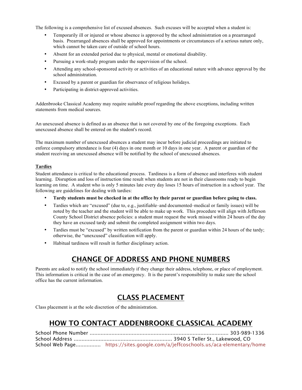The following is a comprehensive list of excused absences. Such excuses will be accepted when a student is:

- Temporarily ill or injured or whose absence is approved by the school administration on a prearranged basis. Prearranged absences shall be approved for appointments or circumstances of a serious nature only, which cannot be taken care of outside of school hours.
- Absent for an extended period due to physical, mental or emotional disability.
- Pursuing a work-study program under the supervision of the school.
- Attending any school-sponsored activity or activities of an educational nature with advance approval by the school administration.
- Excused by a parent or guardian for observance of religious holidays.
- Participating in district-approved activities.

Addenbrooke Classical Academy may require suitable proof regarding the above exceptions, including written statements from medical sources.

An unexcused absence is defined as an absence that is not covered by one of the foregoing exceptions. Each unexcused absence shall be entered on the student's record.

The maximum number of unexcused absences a student may incur before judicial proceedings are initiated to enforce compulsory attendance is four (4) days in one month or 10 days in one year. A parent or guardian of the student receiving an unexcused absence will be notified by the school of unexcused absences.

#### **Tardies**

Student attendance is critical to the educational process. Tardiness is a form of absence and interferes with student learning. Disruption and loss of instruction time result when students are not in their classrooms ready to begin learning on time. A student who is only 5 minutes late every day loses 15 hours of instruction in a school year. The following are guidelines for dealing with tardies:

- **Tardy students must be checked in at the office by their parent or guardian before going to class.**
- Tardies which are "excused" (due to, e.g., justifiable–and documented–medical or family issues) will be noted by the teacher and the student will be able to make up work. This procedure will align with Jefferson County School District absence policies: a student must request the work missed within 24 hours of the day they have an excused tardy and submit the completed assignment within two days.
- Tardies must be "excused" by written notification from the parent or guardian within 24 hours of the tardy; otherwise, the "unexcused" classification will apply.
- Habitual tardiness will result in further disciplinary action.

### CHANGE OF ADDRESS AND PHONE NUMBERS

Parents are asked to notify the school immediately if they change their address, telephone, or place of employment. This information is critical in the case of an emergency. It is the parent's responsibility to make sure the school office has the current information.

### CLASS PLACEMENT

Class placement is at the sole discretion of the administration.

### HOW TO CONTACT ADDENBROOKE CLASSICAL ACADEMY

| School Web Page https://sites.google.com/a/jeffcoschools.us/aca-elementary/home |
|---------------------------------------------------------------------------------|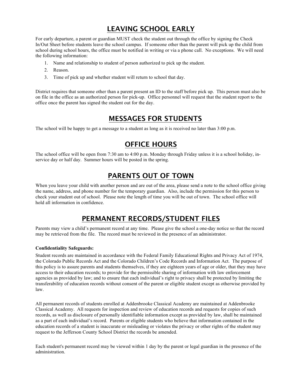### LEAVING SCHOOL EARLY

For early departure, a parent or guardian MUST check the student out through the office by signing the Check In/Out Sheet before students leave the school campus. If someone other than the parent will pick up the child from school during school hours, the office must be notified in writing or via a phone call. No exceptions. We will need the following information:

- 1. Name and relationship to student of person authorized to pick up the student.
- 2. Reason.
- 3. Time of pick up and whether student will return to school that day.

District requires that someone other than a parent present an ID to the staff before pick up. This person must also be on file in the office as an authorized person for pick-up. Office personnel will request that the student report to the office once the parent has signed the student out for the day.

#### MESSAGES FOR STUDENTS

The school will be happy to get a message to a student as long as it is received no later than 3:00 p.m.

### OFFICE HOURS

The school office will be open from 7:30 am to 4:00 p.m. Monday through Friday unless it is a school holiday, inservice day or half day. Summer hours will be posted in the spring.

#### PARENTS OUT OF TOWN

When you leave your child with another person and are out of the area, please send a note to the school office giving the name, address, and phone number for the temporary guardian. Also, include the permission for this person to check your student out of school. Please note the length of time you will be out of town. The school office will hold all information in confidence.

#### PERMANENT RECORDS/STUDENT FILES

Parents may view a child's permanent record at any time. Please give the school a one-day notice so that the record may be retrieved from the file. The record must be reviewed in the presence of an administrator.

#### **Confidentiality Safeguards:**

Student records are maintained in accordance with the Federal Family Educational Rights and Privacy Act of 1974, the Colorado Public Records Act and the Colorado Children's Code Records and Information Act. The purpose of this policy is to assure parents and students themselves, if they are eighteen years of age or older, that they may have access to their education records; to provide for the permissible sharing of information with law enforcement agencies as provided by law; and to ensure that each individual's right to privacy shall be protected by limiting the transferability of education records without consent of the parent or eligible student except as otherwise provided by law.

All permanent records of students enrolled at Addenbrooke Classical Academy are maintained at Addenbrooke Classical Academy. All requests for inspection and review of education records and requests for copies of such records, as well as disclosure of personally identifiable information except as provided by law, shall be maintained as a part of each individual's record. Parents or eligible students who believe that information contained in the education records of a student is inaccurate or misleading or violates the privacy or other rights of the student may request to the Jefferson County School District the records be amended.

Each student's permanent record may be viewed within 1 day by the parent or legal guardian in the presence of the administration.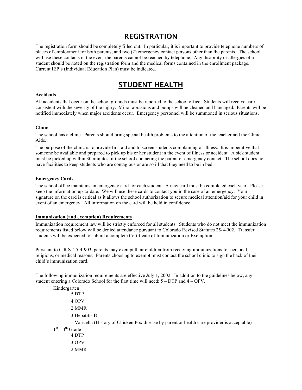#### REGISTRATION

The registration form should be completely filled out. In particular, it is important to provide telephone numbers of places of employment for both parents, and two (2) emergency contact persons other than the parents. The school will use these contacts in the event the parents cannot be reached by telephone. Any disability or allergies of a student should be noted on the registration form and the medical forms contained in the enrollment package. Current IEP's (Individual Education Plan) must be indicated.

### STUDENT HEALTH

#### **Accidents**

All accidents that occur on the school grounds must be reported to the school office. Students will receive care consistent with the severity of the injury. Minor abrasions and bumps will be cleaned and bandaged. Parents will be notified immediately when major accidents occur. Emergency personnel will be summoned in serious situations.

#### **Clinic**

The school has a clinic. Parents should bring special health problems to the attention of the teacher and the Clinic Aide.

The purpose of the clinic is to provide first aid and to screen students complaining of illness. It is imperative that someone be available and prepared to pick up his or her student in the event of illness or accident. A sick student must be picked up within 30 minutes of the school contacting the parent or emergency contact. The school does not have facilities to keep students who are contagious or are so ill that they need to be in bed.

#### **Emergency Cards**

The school office maintains an emergency card for each student. A new card must be completed each year. Please keep the information up-to-date. We will use these cards to contact you in the case of an emergency. Your signature on the card is critical as it allows the school authorization to secure medical attention/aid for your child in event of an emergency. All information on the card will be held in confidence.

#### **Immunization (and exemption) Requirements**

Immunization requirement law will be strictly enforced for all students. Students who do not meet the immunization requirements listed below will be denied attendance pursuant to Colorado Revised Statutes 25-4-902. Transfer students will be expected to submit a complete Certificate of Immunization or Exemption.

Pursuant to C.R.S. 25-4-903, parents may exempt their children from receiving immunizations for personal, religious, or medical reasons. Parents choosing to exempt must contact the school clinic to sign the back of their child's immunization card.

The following immunization requirements are effective July 1, 2002. In addition to the guidelines below, any student entering a Colorado School for the first time will need: 5 – DTP and 4 – OPV.

| Kindergarten      |                                                                                              |
|-------------------|----------------------------------------------------------------------------------------------|
|                   | 5 DTP                                                                                        |
|                   | 4 OPV                                                                                        |
|                   | 2 MMR                                                                                        |
|                   | 3 Hepatitis B                                                                                |
|                   | 1 Varicella (History of Chicken Pox disease by parent or health care provider is acceptable) |
| $1st - 4th$ Grade |                                                                                              |
|                   | 4 DTP                                                                                        |
|                   | 3 OPV                                                                                        |
|                   | 2 MMR                                                                                        |
|                   |                                                                                              |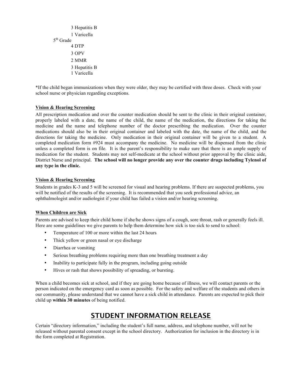```
3 Hepatitis B
        1 Varicella
5th Grade
        4 DTP
        3 OPV
        2 MMR
        3 Hepatitis B
        1 Varicella
```
\*If the child began immunizations when they were older, they may be certified with three doses. Check with your school nurse or physician regarding exceptions.

#### **Vision & Hearing Screening**

All prescription medication and over the counter medication should be sent to the clinic in their original container, properly labeled with a date, the name of the child, the name of the medication, the directions for taking the medicine and the name and telephone number of the doctor prescribing the medication. Over the counter medications should also be in their original container and labeled with the date, the name of the child, and the directions for taking the medicine. Only medication in their original container will be given to a student. A completed medication form #924 must accompany the medicine. No medicine will be dispensed from the clinic unless a completed form is on file. It is the parent's responsibility to make sure that there is an ample supply of medication for the student. Students may not self-medicate at the school without prior approval by the clinic aide, District Nurse and principal. **The school will no longer provide any over the counter drugs including Tylenol of any type in the clinic.**

#### **Vision & Hearing Screening**

Students in grades K-3 and 5 will be screened for visual and hearing problems. If there are suspected problems, you will be notified of the results of the screening. It is recommended that you seek professional advice, an ophthalmologist and/or audiologist if your child has failed a vision and/or hearing screening.

#### **When Children are Sick**

Parents are advised to keep their child home if she/he shows signs of a cough, sore throat, rash or generally feels ill. Here are some guidelines we give parents to help them determine how sick is too sick to send to school:

- Temperature of 100 or more within the last 24 hours
- Thick yellow or green nasal or eye discharge
- Diarrhea or vomiting
- Serious breathing problems requiring more than one breathing treatment a day
- Inability to participate fully in the program, including going outside
- Hives or rash that shows possibility of spreading, or bursting.

When a child becomes sick at school, and if they are going home because of illness, we will contact parents or the person indicated on the emergency card as soon as possible. For the safety and welfare of the students and others in our community, please understand that we cannot have a sick child in attendance. Parents are expected to pick their child up **within 30 minutes** of being notified.

### STUDENT INFORMATION RELEASE

Certain "directory information," including the student's full name, address, and telephone number, will not be released without parental consent except in the school directory. Authorization for inclusion in the directory is in the form completed at Registration.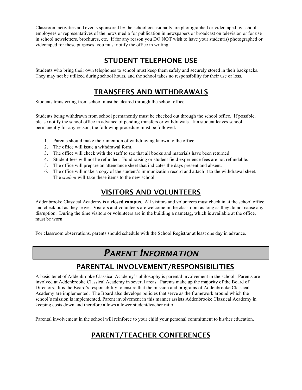Classroom activities and events sponsored by the school occasionally are photographed or videotaped by school employees or representatives of the news media for publication in newspapers or broadcast on television or for use in school newsletters, brochures, etc. If for any reason you DO NOT wish to have your student(s) photographed or videotaped for these purposes, you must notify the office in writing.

### STUDENT TELEPHONE USE

Students who bring their own telephones to school must keep them safely and securely stored in their backpacks. They may not be utilized during school hours, and the school takes no responsibility for their use or loss.

#### TRANSFERS AND WITHDRAWALS

Students transferring from school must be cleared through the school office.

Students being withdrawn from school permanently must be checked out through the school office. If possible, please notify the school office in advance of pending transfers or withdrawals. If a student leaves school permanently for any reason, the following procedure must be followed.

- 1. Parents should make their intention of withdrawing known to the office.
- 2. The office will issue a withdrawal form.
- 3. The office will check with the staff to see that all books and materials have been returned.
- 4. Student fees will not be refunded. Fund raising or student field experience fees are not refundable.
- 5. The office will prepare an attendance sheet that indicates the days present and absent.
- 6. The office will make a copy of the student's immunization record and attach it to the withdrawal sheet. The *student* will take these items to the new school.

### VISITORS AND VOLUNTEERS

Addenbrooke Classical Academy is a **closed campus**. All visitors and volunteers must check in at the school office and check out as they leave. Visitors and volunteers are welcome in the classroom as long as they do not cause any disruption. During the time visitors or volunteers are in the building a nametag, which is available at the office, must be worn.

For classroom observations, parents should schedule with the School Registrar at least one day in advance.

# *PARENT INFORMATION*

### PARENTAL INVOLVEMENT/RESPONSIBILITIES

A basic tenet of Addenbrooke Classical Academy's philosophy is parental involvement in the school. Parents are involved at Addenbrooke Classical Academy in several areas. Parents make up the majority of the Board of Directors. It is the Board's responsibility to ensure that the mission and programs of Addenbrooke Classical Academy are implemented. The Board also develops policies that serve as the framework around which the school's mission is implemented. Parent involvement in this manner assists Addenbrooke Classical Academy in keeping costs down and therefore allows a lower student/teacher ratio.

Parental involvement in the school will reinforce to your child your personal commitment to his/her education.

### PARENT/TEACHER CONFERENCES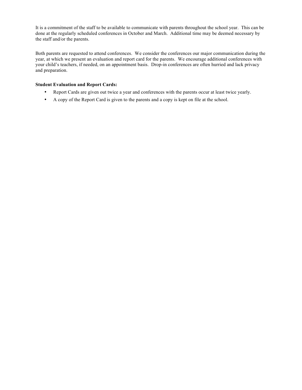It is a commitment of the staff to be available to communicate with parents throughout the school year. This can be done at the regularly scheduled conferences in October and March. Additional time may be deemed necessary by the staff and/or the parents.

Both parents are requested to attend conferences. We consider the conferences our major communication during the year, at which we present an evaluation and report card for the parents. We encourage additional conferences with your child's teachers, if needed, on an appointment basis. Drop-in conferences are often hurried and lack privacy and preparation.

#### **Student Evaluation and Report Cards:**

- Report Cards are given out twice a year and conferences with the parents occur at least twice yearly.
- A copy of the Report Card is given to the parents and a copy is kept on file at the school.